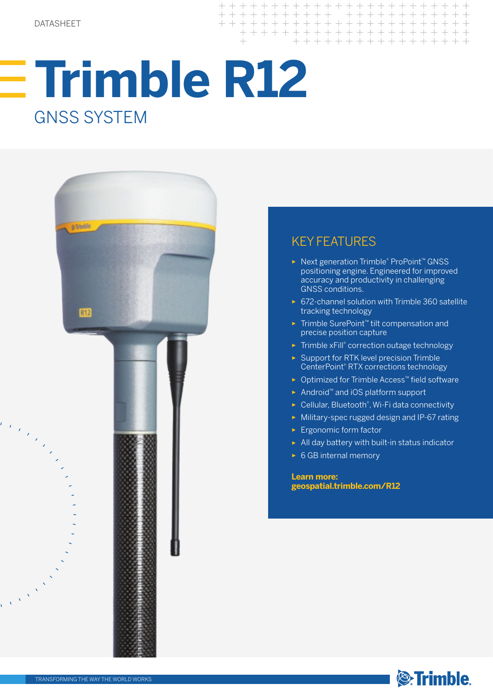## **Trimble R12**  GNSS SYSTEM



## KEY FEATURES

+ + + + + + + + +

 $\perp$ 

► Next generation Trimble® ProPoint™ GNSS positioning engine. Engineered for improved accuracy and productivity in challenging GNSS conditions.

+ + + + + + + + + + +

 $+$ 

+ + + + + + + + + + + + + + + +

- ► 672-channel solution with Trimble 360 satellite tracking technology
- ► Trimble SurePoint™ tilt compensation and precise position capture
- ► Trimble xFill® correction outage technology
- ► Support for RTK level precision Trimble CenterPoint® RTX corrections technology
- ► Optimized for Trimble Access™ field software
- ► Android™ and iOS platform support
- ► Cellular, Bluetooth® , Wi-Fi data connectivity
- ► Military-spec rugged design and IP-67 rating
- ► Ergonomic form factor
- ► All day battery with built-in status indicator
- ► 6 GB internal memory

**Learn more: geospatial.trimble.com/R12**

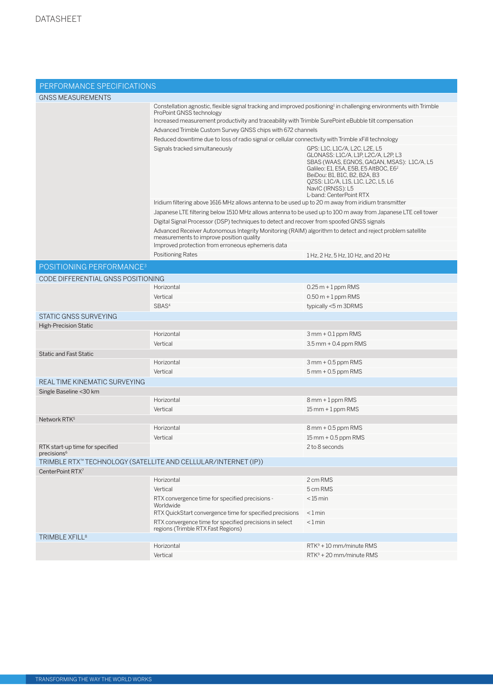| PERFORMANCE SPECIFICATIONS                                 |                                                                                                                                                                                                            |                                                                                                                                                                                                                                                                                               |  |
|------------------------------------------------------------|------------------------------------------------------------------------------------------------------------------------------------------------------------------------------------------------------------|-----------------------------------------------------------------------------------------------------------------------------------------------------------------------------------------------------------------------------------------------------------------------------------------------|--|
| <b>GNSS MEASUREMENTS</b>                                   |                                                                                                                                                                                                            |                                                                                                                                                                                                                                                                                               |  |
|                                                            | Constellation agnostic, flexible signal tracking and improved positioning <sup>1</sup> in challenging environments with Trimble<br>ProPoint GNSS technology                                                |                                                                                                                                                                                                                                                                                               |  |
|                                                            | Increased measurement productivity and traceability with Trimble SurePoint eBubble tilt compensation                                                                                                       |                                                                                                                                                                                                                                                                                               |  |
|                                                            | Advanced Trimble Custom Survey GNSS chips with 672 channels                                                                                                                                                |                                                                                                                                                                                                                                                                                               |  |
|                                                            | Reduced downtime due to loss of radio signal or cellular connectivity with Trimble xFill technology                                                                                                        |                                                                                                                                                                                                                                                                                               |  |
|                                                            | Signals tracked simultaneously                                                                                                                                                                             | GPS: L1C, L1C/A, L2C, L2E, L5<br>GLONASS: L1C/A, L1P, L2C/A, L2P, L3<br>SBAS (WAAS, EGNOS, GAGAN, MSAS): L1C/A, L5<br>Galileo: E1, E5A, E5B, E5 AltBOC, E6 <sup>2</sup><br>BeiDou: B1, B1C, B2, B2A, B3<br>QZSS: L1C/A, L1S, L1C, L2C, L5, L6<br>NavIC (IRNSS): L5<br>L-band: CenterPoint RTX |  |
|                                                            | Iridium filtering above 1616 MHz allows antenna to be used up to 20 m away from iridium transmitter                                                                                                        |                                                                                                                                                                                                                                                                                               |  |
|                                                            | Japanese LTE filtering below 1510 MHz allows antenna to be used up to 100 m away from Japanese LTE cell tower                                                                                              |                                                                                                                                                                                                                                                                                               |  |
|                                                            | Digital Signal Processor (DSP) techniques to detect and recover from spoofed GNSS signals                                                                                                                  |                                                                                                                                                                                                                                                                                               |  |
|                                                            | Advanced Receiver Autonomous Integrity Monitoring (RAIM) algorithm to detect and reject problem satellite<br>measurements to improve position quality<br>Improved protection from erroneous ephemeris data |                                                                                                                                                                                                                                                                                               |  |
|                                                            | Positioning Rates                                                                                                                                                                                          | 1 Hz, 2 Hz, 5 Hz, 10 Hz, and 20 Hz                                                                                                                                                                                                                                                            |  |
|                                                            |                                                                                                                                                                                                            |                                                                                                                                                                                                                                                                                               |  |
| POSITIONING PERFORMANCE <sup>3</sup>                       |                                                                                                                                                                                                            |                                                                                                                                                                                                                                                                                               |  |
| CODE DIFFERENTIAL GNSS POSITIONING                         |                                                                                                                                                                                                            |                                                                                                                                                                                                                                                                                               |  |
|                                                            | Horizontal                                                                                                                                                                                                 | $0.25 m + 1$ ppm RMS                                                                                                                                                                                                                                                                          |  |
|                                                            | Vertical                                                                                                                                                                                                   | $0.50$ m + 1 ppm RMS                                                                                                                                                                                                                                                                          |  |
|                                                            | SBAS <sup>4</sup>                                                                                                                                                                                          | typically <5 m 3DRMS                                                                                                                                                                                                                                                                          |  |
| STATIC GNSS SURVEYING                                      |                                                                                                                                                                                                            |                                                                                                                                                                                                                                                                                               |  |
| High-Precision Static                                      |                                                                                                                                                                                                            |                                                                                                                                                                                                                                                                                               |  |
|                                                            | Horizontal                                                                                                                                                                                                 | $3$ mm + 0.1 ppm RMS                                                                                                                                                                                                                                                                          |  |
|                                                            | Vertical                                                                                                                                                                                                   | $3.5$ mm + 0.4 ppm RMS                                                                                                                                                                                                                                                                        |  |
| <b>Static and Fast Static</b>                              |                                                                                                                                                                                                            |                                                                                                                                                                                                                                                                                               |  |
|                                                            | Horizontal                                                                                                                                                                                                 | $3$ mm + 0.5 ppm RMS                                                                                                                                                                                                                                                                          |  |
|                                                            | Vertical                                                                                                                                                                                                   | $5$ mm $+$ 0.5 ppm RMS                                                                                                                                                                                                                                                                        |  |
| REAL TIME KINEMATIC SURVEYING                              |                                                                                                                                                                                                            |                                                                                                                                                                                                                                                                                               |  |
| Single Baseline < 30 km                                    | Horizontal                                                                                                                                                                                                 |                                                                                                                                                                                                                                                                                               |  |
|                                                            | Vertical                                                                                                                                                                                                   | 8 mm + 1 ppm RMS<br>$15$ mm $+1$ ppm RMS                                                                                                                                                                                                                                                      |  |
|                                                            |                                                                                                                                                                                                            |                                                                                                                                                                                                                                                                                               |  |
| Network RTK <sup>5</sup>                                   | Horizontal                                                                                                                                                                                                 | 8 mm + 0.5 ppm RMS                                                                                                                                                                                                                                                                            |  |
|                                                            | Vertical                                                                                                                                                                                                   | 15 mm + 0.5 ppm RMS                                                                                                                                                                                                                                                                           |  |
| RTK start-up time for specified<br>precisions <sup>6</sup> |                                                                                                                                                                                                            | 2 to 8 seconds                                                                                                                                                                                                                                                                                |  |
|                                                            | TRIMBLE RTX™ TECHNOLOGY (SATELLITE AND CELLULAR/INTERNET (IP))                                                                                                                                             |                                                                                                                                                                                                                                                                                               |  |
| CenterPoint RTX7                                           |                                                                                                                                                                                                            |                                                                                                                                                                                                                                                                                               |  |
|                                                            | Horizontal                                                                                                                                                                                                 | 2 cm RMS                                                                                                                                                                                                                                                                                      |  |
|                                                            | Vertical                                                                                                                                                                                                   | 5 cm RMS                                                                                                                                                                                                                                                                                      |  |
|                                                            | RTX convergence time for specified precisions -<br>Worldwide                                                                                                                                               | $<$ 15 min                                                                                                                                                                                                                                                                                    |  |
|                                                            | RTX QuickStart convergence time for specified precisions                                                                                                                                                   | $< 1$ min                                                                                                                                                                                                                                                                                     |  |
|                                                            | RTX convergence time for specified precisions in select<br>regions (Trimble RTX Fast Regions)                                                                                                              | $< 1$ min                                                                                                                                                                                                                                                                                     |  |
| TRIMBLE XFILL <sup>8</sup>                                 |                                                                                                                                                                                                            |                                                                                                                                                                                                                                                                                               |  |
|                                                            | Horizontal                                                                                                                                                                                                 | $RTK9 + 10$ mm/minute RMS                                                                                                                                                                                                                                                                     |  |
|                                                            | Vertical                                                                                                                                                                                                   | $RTK9 + 20$ mm/minute RMS                                                                                                                                                                                                                                                                     |  |
|                                                            |                                                                                                                                                                                                            |                                                                                                                                                                                                                                                                                               |  |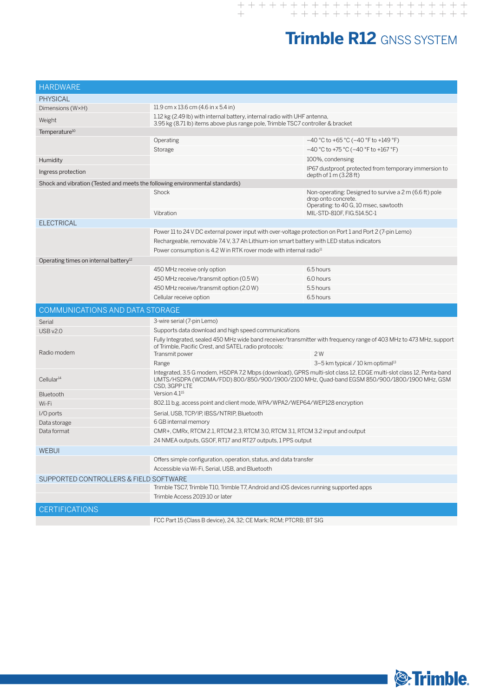| <b>HARDWARE</b>                                                              |                                                                                                         |                                                                                                                                                                                                                   |  |  |
|------------------------------------------------------------------------------|---------------------------------------------------------------------------------------------------------|-------------------------------------------------------------------------------------------------------------------------------------------------------------------------------------------------------------------|--|--|
|                                                                              |                                                                                                         |                                                                                                                                                                                                                   |  |  |
| <b>PHYSICAL</b>                                                              | 11.9 cm x 13.6 cm $(4.6 \text{ in x } 5.4 \text{ in})$                                                  |                                                                                                                                                                                                                   |  |  |
| Dimensions (W×H)                                                             | 1.12 kg (2.49 lb) with internal battery, internal radio with UHF antenna,                               |                                                                                                                                                                                                                   |  |  |
| Weight                                                                       | 3.95 kg (8.71 lb) items above plus range pole, Trimble TSC7 controller & bracket                        |                                                                                                                                                                                                                   |  |  |
| Temperature <sup>10</sup>                                                    |                                                                                                         |                                                                                                                                                                                                                   |  |  |
|                                                                              | Operating                                                                                               | $-40$ °C to +65 °C ( $-40$ °F to +149 °F)                                                                                                                                                                         |  |  |
|                                                                              | Storage                                                                                                 | $-40$ °C to +75 °C ( $-40$ °F to +167 °F)                                                                                                                                                                         |  |  |
| Humidity                                                                     |                                                                                                         | 100%, condensing                                                                                                                                                                                                  |  |  |
| Ingress protection                                                           |                                                                                                         | IP67 dustproof, protected from temporary immersion to<br>depth of $1 \text{ m}$ (3.28 ft)                                                                                                                         |  |  |
| Shock and vibration (Tested and meets the following environmental standards) |                                                                                                         |                                                                                                                                                                                                                   |  |  |
|                                                                              | Shock<br>Vibration                                                                                      | Non-operating: Designed to survive a 2 m (6.6 ft) pole<br>drop onto concrete.<br>Operating: to 40 G, 10 msec, sawtooth<br>MIL-STD-810F, FIG.514.5C-1                                                              |  |  |
| <b>ELECTRICAL</b>                                                            |                                                                                                         |                                                                                                                                                                                                                   |  |  |
|                                                                              | Power 11 to 24 V DC external power input with over-voltage protection on Port 1 and Port 2 (7-pin Lemo) |                                                                                                                                                                                                                   |  |  |
|                                                                              | Rechargeable, removable 7.4 V, 3.7 Ah Lithium-ion smart battery with LED status indicators              |                                                                                                                                                                                                                   |  |  |
|                                                                              | Power consumption is 4.2 W in RTK rover mode with internal radio <sup>11</sup>                          |                                                                                                                                                                                                                   |  |  |
| Operating times on internal battery <sup>12</sup>                            |                                                                                                         |                                                                                                                                                                                                                   |  |  |
|                                                                              | 450 MHz receive only option                                                                             | 6.5 hours                                                                                                                                                                                                         |  |  |
|                                                                              | 450 MHz receive/transmit option (0.5 W)                                                                 | 6.0 hours                                                                                                                                                                                                         |  |  |
|                                                                              | 450 MHz receive/transmit option (2.0 W)                                                                 | 5.5 hours                                                                                                                                                                                                         |  |  |
|                                                                              | Cellular receive option                                                                                 | 6.5 hours                                                                                                                                                                                                         |  |  |
|                                                                              |                                                                                                         |                                                                                                                                                                                                                   |  |  |
| COMMUNICATIONS AND DATA STORAGE                                              |                                                                                                         |                                                                                                                                                                                                                   |  |  |
| Serial                                                                       | 3-wire serial (7-pin Lemo)                                                                              |                                                                                                                                                                                                                   |  |  |
| <b>USB v2.0</b>                                                              | Supports data download and high speed communications                                                    |                                                                                                                                                                                                                   |  |  |
|                                                                              |                                                                                                         | Fully Integrated, sealed 450 MHz wide band receiver/transmitter with frequency range of 403 MHz to 473 MHz, support                                                                                               |  |  |
| Radio modem                                                                  | of Trimble, Pacific Crest, and SATEL radio protocols:<br>Transmit power                                 | 2 W                                                                                                                                                                                                               |  |  |
|                                                                              | Range                                                                                                   | 3–5 km typical / 10 km optimal <sup>13</sup>                                                                                                                                                                      |  |  |
| Cellular <sup>14</sup>                                                       | CSD, 3GPP LTE                                                                                           | Integrated, 3.5 G modem, HSDPA 7.2 Mbps (download), GPRS multi-slot class 12, EDGE multi-slot class 12, Penta-band<br>UMTS/HSDPA (WCDMA/FDD) 800/850/900/1900/2100 MHz, Quad-band EGSM 850/900/1800/1900 MHz, GSM |  |  |
| Bluetooth                                                                    | Version 4.1 <sup>15</sup>                                                                               |                                                                                                                                                                                                                   |  |  |
| Wi-Fi                                                                        | 802.11 b,g, access point and client mode, WPA/WPA2/WEP64/WEP128 encryption                              |                                                                                                                                                                                                                   |  |  |
| I/O ports                                                                    | Serial, USB, TCP/IP, IBSS/NTRIP, Bluetooth                                                              |                                                                                                                                                                                                                   |  |  |
| Data storage                                                                 | 6 GB internal memory                                                                                    |                                                                                                                                                                                                                   |  |  |
| Data format                                                                  | CMR+, CMRx, RTCM 2.1, RTCM 2.3, RTCM 3.0, RTCM 3.1, RTCM 3.2 input and output                           |                                                                                                                                                                                                                   |  |  |
|                                                                              | 24 NMEA outputs, GSOF, RT17 and RT27 outputs, 1 PPS output                                              |                                                                                                                                                                                                                   |  |  |
| WEBUI                                                                        |                                                                                                         |                                                                                                                                                                                                                   |  |  |
|                                                                              | Offers simple configuration, operation, status, and data transfer                                       |                                                                                                                                                                                                                   |  |  |
|                                                                              | Accessible via Wi-Fi, Serial, USB, and Bluetooth                                                        |                                                                                                                                                                                                                   |  |  |
| SUPPORTED CONTROLLERS & FIELD SOFTWARE                                       |                                                                                                         |                                                                                                                                                                                                                   |  |  |
|                                                                              | Trimble TSC7, Trimble T10, Trimble T7, Android and iOS devices running supported apps                   |                                                                                                                                                                                                                   |  |  |
|                                                                              | Trimble Access 2019.10 or later                                                                         |                                                                                                                                                                                                                   |  |  |
| <b>CERTIFICATIONS</b>                                                        |                                                                                                         |                                                                                                                                                                                                                   |  |  |